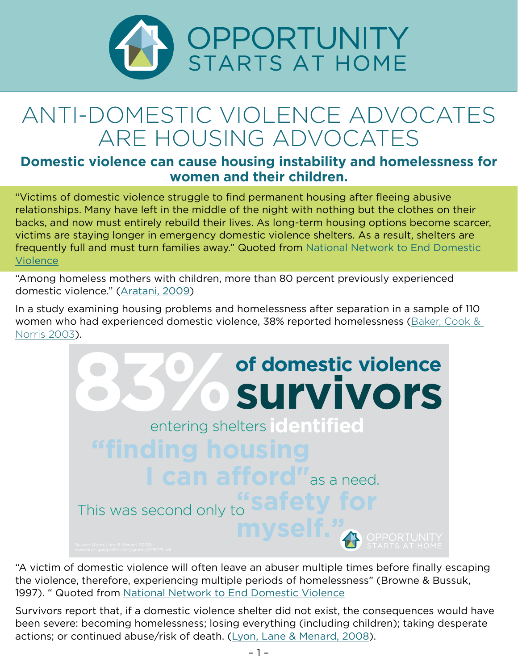

# ANTI-DOMESTIC VIOLENCE ADVOCATES ARE HOUSING ADVOCATES

### **Domestic violence can cause housing instability and homelessness for women and their children.**

"Victims of domestic violence struggle to find permanent housing after fleeing abusive relationships. Many have left in the middle of the night with nothing but the clothes on their backs, and now must entirely rebuild their lives. As long-term housing options become scarcer, victims are staying longer in emergency domestic violence shelters. As a result, shelters are frequently full and must turn families away." Quoted from [National Network to End Domestic](https://nnedv.org/content/housing-policy/)  [Violence](https://nnedv.org/content/housing-policy/)

"Among homeless mothers with children, more than 80 percent previously experienced domestic violence." [\(Aratani, 2009](http://www.nccp.org/publications/pdf/text_888.pdf))

In a study examining housing problems and homelessness after separation in a sample of 110 women who had experienced domestic violence, 38% reported homelessness ([Baker, Cook &](http://socialsciences.people.hawaii.edu/publications_lib/domestic violence and housing.pdf)  [Norris 2003](http://socialsciences.people.hawaii.edu/publications_lib/domestic violence and housing.pdf)).



"A victim of domestic violence will often leave an abuser multiple times before finally escaping the violence, therefore, experiencing multiple periods of homelessness" (Browne & Bussuk, 1997). " Quoted from [National Network to End Domestic Violence](https://nnedv.org/?mdocs-file=6722)

Survivors report that, if a domestic violence shelter did not exist, the consequences would have been severe: becoming homelessness; losing everything (including children); taking desperate actions; or continued abuse/risk of death. [\(Lyon, Lane & Menard, 2008\)](https://vawnet.org/sites/default/files/materials/files/2016-08/MeetingSurvivorsNeeds-FullReport.pdf).